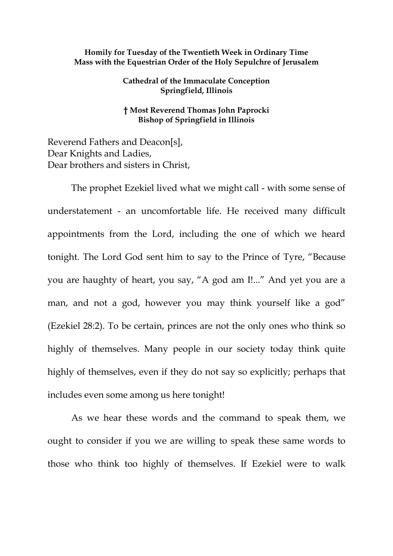## **Homily for Tuesday of the Twentieth Week in Ordinary Time Mass with the Equestrian Order of the Holy Sepulchre of Jerusalem**

**Cathedral of the Immaculate Conception Springfield, Illinois**

**† Most Reverend Thomas John Paprocki Bishop of Springfield in Illinois**

Reverend Fathers and Deacon[s], Dear Knights and Ladies, Dear brothers and sisters in Christ,

The prophet Ezekiel lived what we might call - with some sense of understatement - an uncomfortable life. He received many difficult appointments from the Lord, including the one of which we heard tonight. The Lord God sent him to say to the Prince of Tyre, "Because you are haughty of heart, you say, "A god am I!..." And yet you are a man, and not a god, however you may think yourself like a god" (Ezekiel 28:2). To be certain, princes are not the only ones who think so highly of themselves. Many people in our society today think quite highly of themselves, even if they do not say so explicitly; perhaps that includes even some among us here tonight!

As we hear these words and the command to speak them, we ought to consider if you we are willing to speak these same words to those who think too highly of themselves. If Ezekiel were to walk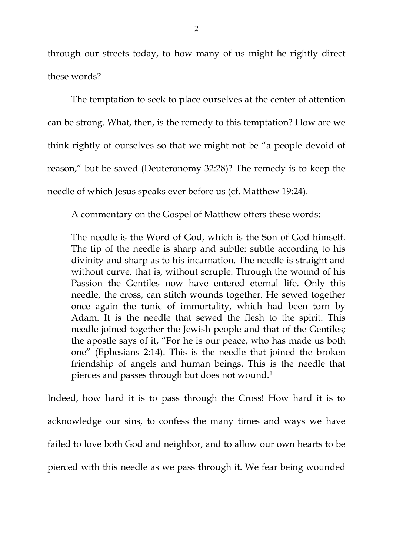through our streets today, to how many of us might he rightly direct these words?

The temptation to seek to place ourselves at the center of attention can be strong. What, then, is the remedy to this temptation? How are we think rightly of ourselves so that we might not be "a people devoid of reason," but be saved (Deuteronomy 32:28)? The remedy is to keep the needle of which Jesus speaks ever before us (cf. Matthew 19:24).

A commentary on the Gospel of Matthew offers these words:

The needle is the Word of God, which is the Son of God himself. The tip of the needle is sharp and subtle: subtle according to his divinity and sharp as to his incarnation. The needle is straight and without curve, that is, without scruple. Through the wound of his Passion the Gentiles now have entered eternal life. Only this needle, the cross, can stitch wounds together. He sewed together once again the tunic of immortality, which had been torn by Adam. It is the needle that sewed the flesh to the spirit. This needle joined together the Jewish people and that of the Gentiles; the apostle says of it, "For he is our peace, who has made us both one" (Ephesians 2:14). This is the needle that joined the broken friendship of angels and human beings. This is the needle that pierces and passes through but does not wound.[1](#page-2-0)

Indeed, how hard it is to pass through the Cross! How hard it is to acknowledge our sins, to confess the many times and ways we have failed to love both God and neighbor, and to allow our own hearts to be pierced with this needle as we pass through it. We fear being wounded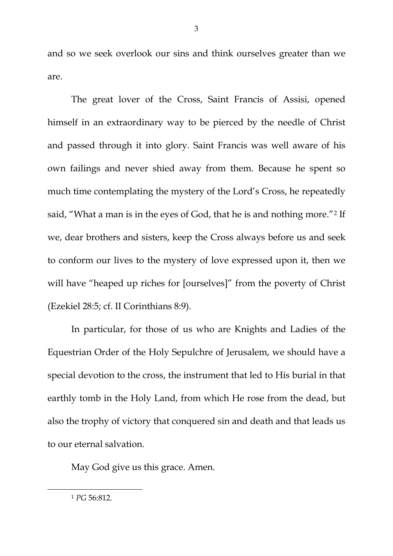and so we seek overlook our sins and think ourselves greater than we are.

The great lover of the Cross, Saint Francis of Assisi, opened himself in an extraordinary way to be pierced by the needle of Christ and passed through it into glory. Saint Francis was well aware of his own failings and never shied away from them. Because he spent so much time contemplating the mystery of the Lord's Cross, he repeatedly said, "What a man is in the eyes of God, that he is and nothing more."<sup>[2](#page-3-0)</sup> If we, dear brothers and sisters, keep the Cross always before us and seek to conform our lives to the mystery of love expressed upon it, then we will have "heaped up riches for [ourselves]" from the poverty of Christ (Ezekiel 28:5; cf. II Corinthians 8:9).

In particular, for those of us who are Knights and Ladies of the Equestrian Order of the Holy Sepulchre of Jerusalem, we should have a special devotion to the cross, the instrument that led to His burial in that earthly tomb in the Holy Land, from which He rose from the dead, but also the trophy of victory that conquered sin and death and that leads us to our eternal salvation.

May God give us this grace. Amen.

<span id="page-2-0"></span> $\overline{a}$ 

<sup>1</sup> *PG* 56:812.